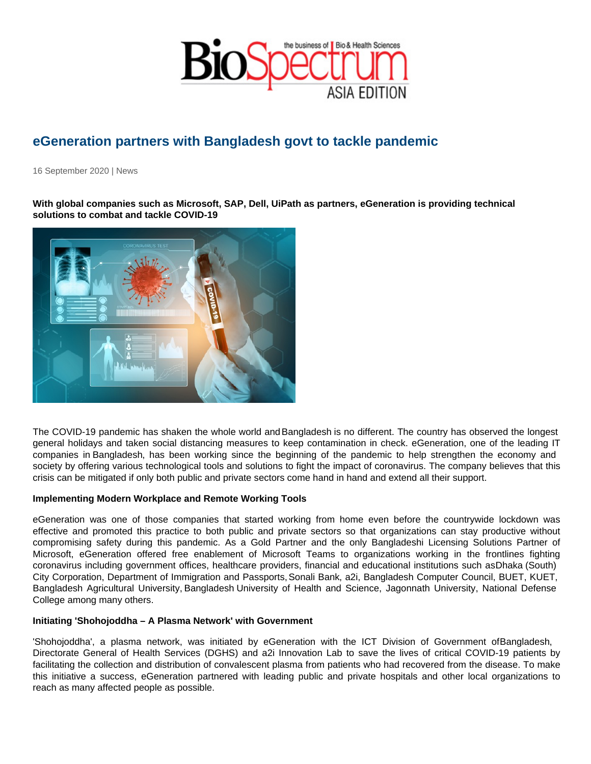## eGeneration partners with Bangladesh govt to tackle pandemic

16 September 2020 | News

With global companies such as Microsoft, SAP, Dell, UiPath as partners, eGeneration is providing technical solutions to combat and tackle COVID-19

The COVID-19 pandemic has shaken the whole world and Bangladesh is no different. The country has observed the longest general holidays and taken social distancing measures to keep contamination in check. eGeneration, one of the leading IT companies in Bangladesh, has been working since the beginning of the pandemic to help strengthen the economy and society by offering various technological tools and solutions to fight the impact of coronavirus. The company believes that this crisis can be mitigated if only both public and private sectors come hand in hand and extend all their support.

Implementing Modern Workplace and Remote Working Tools

eGeneration was one of those companies that started working from home even before the countrywide lockdown was effective and promoted this practice to both public and private sectors so that organizations can stay productive without compromising safety during this pandemic. As a Gold Partner and the only Bangladeshi Licensing Solutions Partner of Microsoft, eGeneration offered free enablement of Microsoft Teams to organizations working in the frontlines fighting coronavirus including government offices, healthcare providers, financial and educational institutions such as Dhaka (South) City Corporation, Department of Immigration and Passports, Sonali Bank, a2i, Bangladesh Computer Council, BUET, KUET, Bangladesh Agricultural University, Bangladesh University of Health and Science, Jagonnath University, National Defense College among many others.

Initiating 'Shohojoddha – A Plasma Network' with Government

'Shohojoddha', a plasma network, was initiated by eGeneration with the ICT Division of Government of Bangladesh, Directorate General of Health Services (DGHS) and a2i Innovation Lab to save the lives of critical COVID-19 patients by facilitating the collection and distribution of convalescent plasma from patients who had recovered from the disease. To make this initiative a success, eGeneration partnered with leading public and private hospitals and other local organizations to reach as many affected people as possible.